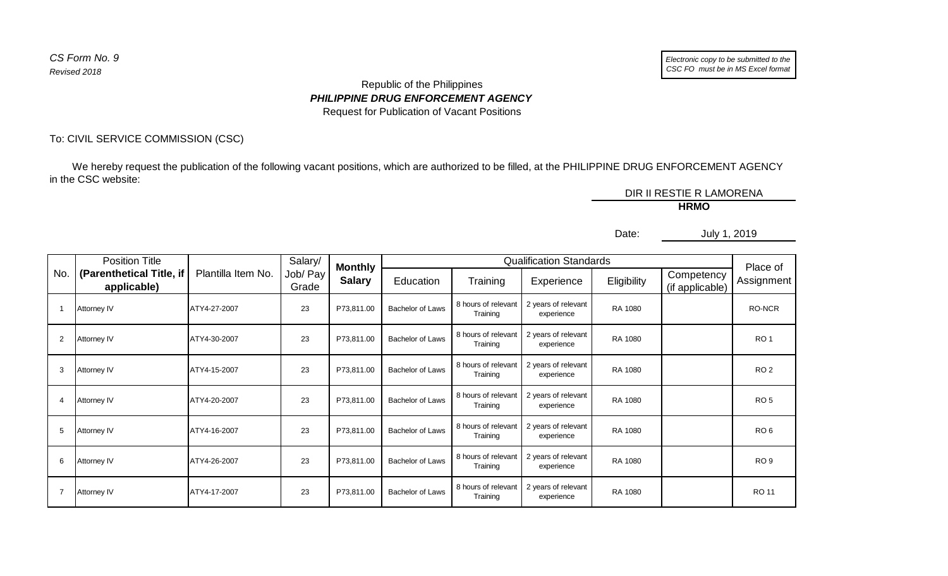## Republic of the Philippines *PHILIPPINE DRUG ENFORCEMENT AGENCY* Request for Publication of Vacant Positions

To: CIVIL SERVICE COMMISSION (CSC)

 We hereby request the publication of the following vacant positions, which are authorized to be filled, at the PHILIPPINE DRUG ENFORCEMENT AGENCY in the CSC website:

DIR II RESTIE R LAMORENA

## **HRMO**

## Date: July 1, 2019

|                | <b>Position Title</b>                   |                    | Salary/           | <b>Monthly</b> |                         | <b>Qualification Standards</b>  |                                   |             |                               |                        |
|----------------|-----------------------------------------|--------------------|-------------------|----------------|-------------------------|---------------------------------|-----------------------------------|-------------|-------------------------------|------------------------|
| No.            | (Parenthetical Title, if<br>applicable) | Plantilla Item No. | Job/ Pay<br>Grade | <b>Salary</b>  | Education               | Training                        | Experience                        | Eligibility | Competency<br>(if applicable) | Place of<br>Assignment |
|                | <b>Attorney IV</b>                      | ATY4-27-2007       | 23                | P73,811.00     | Bachelor of Laws        | 8 hours of relevant<br>Training | 2 years of relevant<br>experience | RA 1080     |                               | RO-NCR                 |
| $\overline{2}$ | <b>Attorney IV</b>                      | ATY4-30-2007       | 23                | P73,811.00     | <b>Bachelor of Laws</b> | 8 hours of relevant<br>Training | 2 years of relevant<br>experience | RA 1080     |                               | RO <sub>1</sub>        |
| 3              | Attorney IV                             | ATY4-15-2007       | 23                | P73,811.00     | <b>Bachelor of Laws</b> | 8 hours of relevant<br>Training | 2 years of relevant<br>experience | RA 1080     |                               | RO <sub>2</sub>        |
| 4              | <b>Attorney IV</b>                      | ATY4-20-2007       | 23                | P73,811.00     | Bachelor of Laws        | 8 hours of relevant<br>Training | 2 years of relevant<br>experience | RA 1080     |                               | RO <sub>5</sub>        |
| 5              | <b>Attorney IV</b>                      | ATY4-16-2007       | 23                | P73,811.00     | <b>Bachelor of Laws</b> | 8 hours of relevant<br>Training | 2 years of relevant<br>experience | RA 1080     |                               | RO <sub>6</sub>        |
| 6              | <b>Attorney IV</b>                      | ATY4-26-2007       | 23                | P73,811.00     | Bachelor of Laws        | 8 hours of relevant<br>Training | 2 years of relevant<br>experience | RA 1080     |                               | RO <sub>9</sub>        |
|                | Attorney IV                             | ATY4-17-2007       | 23                | P73,811.00     | <b>Bachelor of Laws</b> | 8 hours of relevant<br>Training | 2 years of relevant<br>experience | RA 1080     |                               | <b>RO 11</b>           |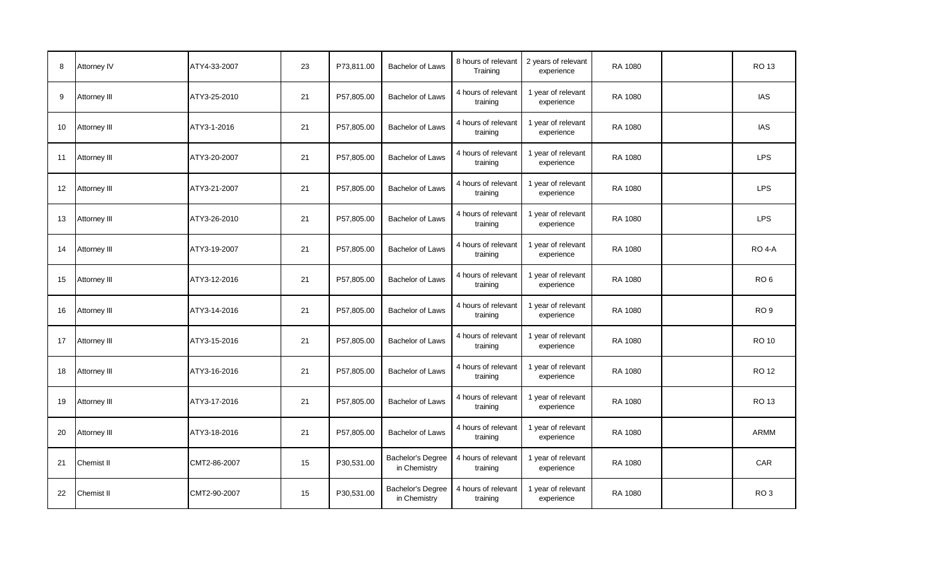| 8  | <b>Attorney IV</b>  | ATY4-33-2007 | 23 | P73,811.00 | Bachelor of Laws                  | 8 hours of relevant<br>Training | 2 years of relevant<br>experience | RA 1080 | <b>RO 13</b>    |
|----|---------------------|--------------|----|------------|-----------------------------------|---------------------------------|-----------------------------------|---------|-----------------|
| 9  | Attorney III        | ATY3-25-2010 | 21 | P57,805.00 | Bachelor of Laws                  | 4 hours of relevant<br>training | 1 year of relevant<br>experience  | RA 1080 | IAS             |
| 10 | Attorney III        | ATY3-1-2016  | 21 | P57,805.00 | <b>Bachelor of Laws</b>           | 4 hours of relevant<br>training | 1 year of relevant<br>experience  | RA 1080 | <b>IAS</b>      |
| 11 | <b>Attorney III</b> | ATY3-20-2007 | 21 | P57,805.00 | <b>Bachelor of Laws</b>           | 4 hours of relevant<br>training | 1 year of relevant<br>experience  | RA 1080 | <b>LPS</b>      |
| 12 | Attorney III        | ATY3-21-2007 | 21 | P57,805.00 | Bachelor of Laws                  | 4 hours of relevant<br>training | 1 year of relevant<br>experience  | RA 1080 | <b>LPS</b>      |
| 13 | <b>Attorney III</b> | ATY3-26-2010 | 21 | P57,805.00 | Bachelor of Laws                  | 4 hours of relevant<br>training | 1 year of relevant<br>experience  | RA 1080 | <b>LPS</b>      |
| 14 | <b>Attorney III</b> | ATY3-19-2007 | 21 | P57,805.00 | <b>Bachelor of Laws</b>           | 4 hours of relevant<br>training | 1 year of relevant<br>experience  | RA 1080 | <b>RO 4-A</b>   |
| 15 | <b>Attorney III</b> | ATY3-12-2016 | 21 | P57,805.00 | <b>Bachelor of Laws</b>           | 4 hours of relevant<br>training | 1 year of relevant<br>experience  | RA 1080 | RO <sub>6</sub> |
| 16 | <b>Attorney III</b> | ATY3-14-2016 | 21 | P57,805.00 | Bachelor of Laws                  | 4 hours of relevant<br>training | 1 year of relevant<br>experience  | RA 1080 | RO <sub>9</sub> |
| 17 | <b>Attorney III</b> | ATY3-15-2016 | 21 | P57,805.00 | Bachelor of Laws                  | 4 hours of relevant<br>training | 1 year of relevant<br>experience  | RA 1080 | <b>RO 10</b>    |
| 18 | Attorney III        | ATY3-16-2016 | 21 | P57,805.00 | <b>Bachelor of Laws</b>           | 4 hours of relevant<br>training | 1 year of relevant<br>experience  | RA 1080 | <b>RO 12</b>    |
| 19 | <b>Attorney III</b> | ATY3-17-2016 | 21 | P57,805.00 | <b>Bachelor of Laws</b>           | 4 hours of relevant<br>training | 1 year of relevant<br>experience  | RA 1080 | <b>RO 13</b>    |
| 20 | Attorney III        | ATY3-18-2016 | 21 | P57,805.00 | Bachelor of Laws                  | 4 hours of relevant<br>training | 1 year of relevant<br>experience  | RA 1080 | ARMM            |
| 21 | <b>Chemist II</b>   | CMT2-86-2007 | 15 | P30,531.00 | Bachelor's Degree<br>in Chemistry | 4 hours of relevant<br>training | 1 year of relevant<br>experience  | RA 1080 | <b>CAR</b>      |
| 22 | <b>Chemist II</b>   | CMT2-90-2007 | 15 | P30,531.00 | Bachelor's Degree<br>in Chemistry | 4 hours of relevant<br>training | 1 year of relevant<br>experience  | RA 1080 | RO <sub>3</sub> |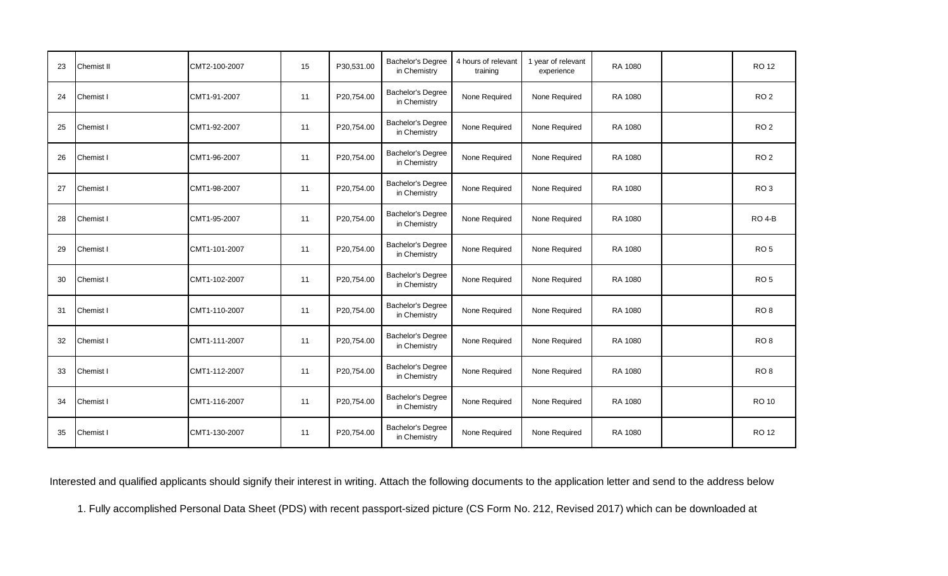| 23 | <b>Chemist II</b> | CMT2-100-2007 | 15 | P30,531.00 | Bachelor's Degree<br>in Chemistry | 4 hours of relevant<br>training | 1 year of relevant<br>experience | RA 1080 | <b>RO 12</b>    |
|----|-------------------|---------------|----|------------|-----------------------------------|---------------------------------|----------------------------------|---------|-----------------|
| 24 | Chemist I         | CMT1-91-2007  | 11 | P20,754.00 | Bachelor's Degree<br>in Chemistry | None Required                   | None Required                    | RA 1080 | RO <sub>2</sub> |
| 25 | Chemist I         | CMT1-92-2007  | 11 | P20,754.00 | Bachelor's Degree<br>in Chemistry | None Required                   | None Required                    | RA 1080 | RO <sub>2</sub> |
| 26 | Chemist I         | CMT1-96-2007  | 11 | P20,754.00 | Bachelor's Degree<br>in Chemistry | None Required                   | None Required                    | RA 1080 | RO <sub>2</sub> |
| 27 | Chemist I         | CMT1-98-2007  | 11 | P20,754.00 | Bachelor's Degree<br>in Chemistry | None Required                   | None Required                    | RA 1080 | RO <sub>3</sub> |
| 28 | Chemist I         | CMT1-95-2007  | 11 | P20,754.00 | Bachelor's Degree<br>in Chemistry | None Required                   | None Required                    | RA 1080 | <b>RO 4-B</b>   |
| 29 | Chemist I         | CMT1-101-2007 | 11 | P20,754.00 | Bachelor's Degree<br>in Chemistry | None Required                   | None Required                    | RA 1080 | RO <sub>5</sub> |
| 30 | Chemist I         | CMT1-102-2007 | 11 | P20,754.00 | Bachelor's Degree<br>in Chemistry | None Required                   | None Required                    | RA 1080 | RO <sub>5</sub> |
| 31 | Chemist I         | CMT1-110-2007 | 11 | P20,754.00 | Bachelor's Degree<br>in Chemistry | None Required                   | None Required                    | RA 1080 | RO <sub>8</sub> |
| 32 | Chemist I         | CMT1-111-2007 | 11 | P20,754.00 | Bachelor's Degree<br>in Chemistry | None Required                   | None Required                    | RA 1080 | RO <sub>8</sub> |
| 33 | Chemist I         | CMT1-112-2007 | 11 | P20,754.00 | Bachelor's Degree<br>in Chemistry | None Required                   | None Required                    | RA 1080 | RO <sub>8</sub> |
| 34 | Chemist I         | CMT1-116-2007 | 11 | P20,754.00 | Bachelor's Degree<br>in Chemistry | None Required                   | None Required                    | RA 1080 | <b>RO 10</b>    |
| 35 | Chemist I         | CMT1-130-2007 | 11 | P20,754.00 | Bachelor's Degree<br>in Chemistry | None Required                   | None Required                    | RA 1080 | <b>RO 12</b>    |

Interested and qualified applicants should signify their interest in writing. Attach the following documents to the application letter and send to the address below

1. Fully accomplished Personal Data Sheet (PDS) with recent passport-sized picture (CS Form No. 212, Revised 2017) which can be downloaded at